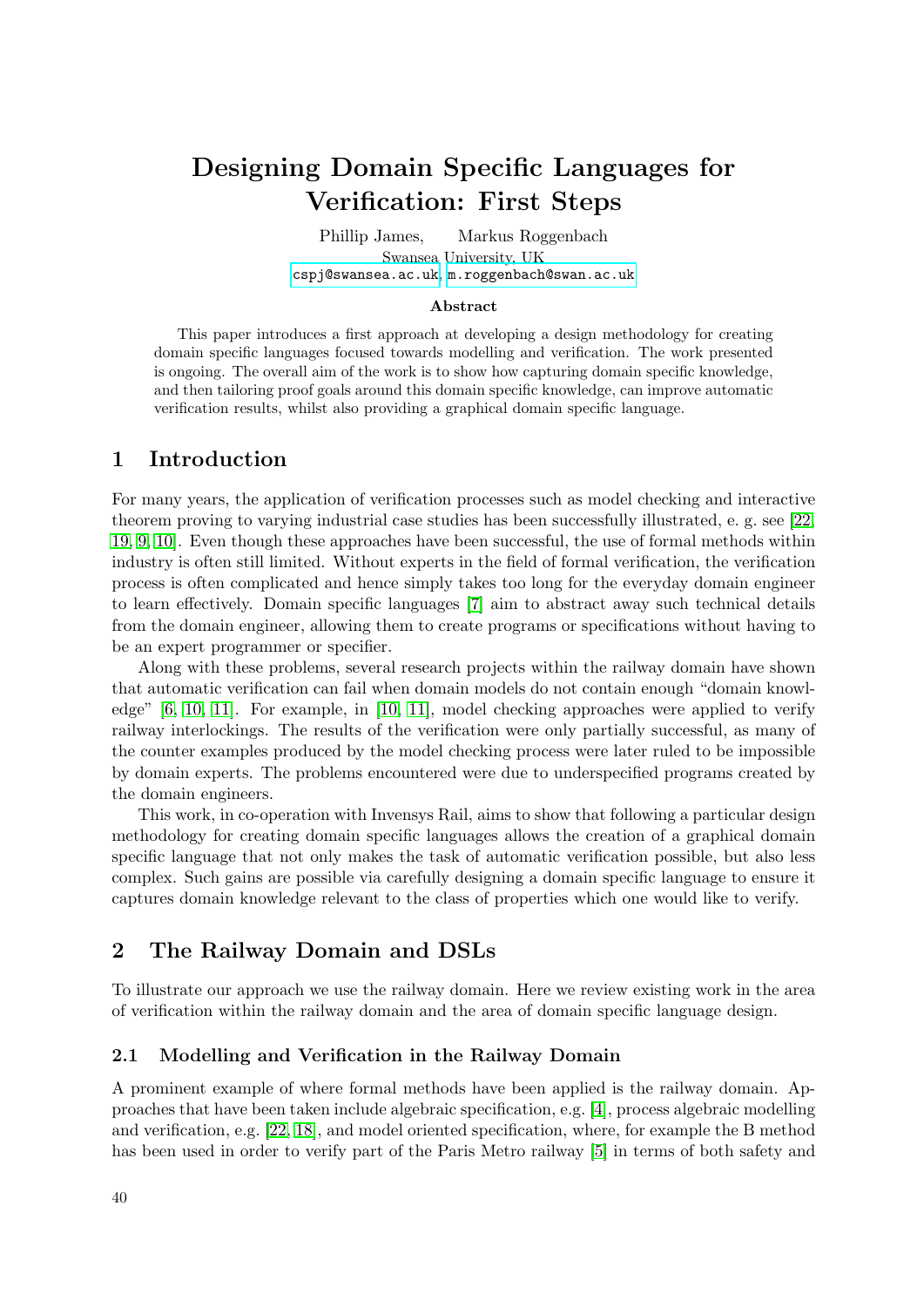# Designing Domain Specific Languages for Verification: First Steps

Phillip James, Markus Roggenbach Swansea University, UK <cspj@swansea.ac.uk>, <m.roggenbach@swan.ac.uk>

#### Abstract

This paper introduces a first approach at developing a design methodology for creating domain specific languages focused towards modelling and verification. The work presented is ongoing. The overall aim of the work is to show how capturing domain specific knowledge, and then tailoring proof goals around this domain specific knowledge, can improve automatic verification results, whilst also providing a graphical domain specific language.

## 1 Introduction

For many years, the application of verification processes such as model checking and interactive theorem proving to varying industrial case studies has been successfully illustrated, e. g. see [\[22,](#page-5-0) [19,](#page-5-1) [9,](#page-5-2) [10\]](#page-5-3). Even though these approaches have been successful, the use of formal methods within industry is often still limited. Without experts in the field of formal verification, the verification process is often complicated and hence simply takes too long for the everyday domain engineer to learn effectively. Domain specific languages [\[7\]](#page-5-4) aim to abstract away such technical details from the domain engineer, allowing them to create programs or specifications without having to be an expert programmer or specifier.

Along with these problems, several research projects within the railway domain have shown that automatic verification can fail when domain models do not contain enough "domain knowledge" [\[6,](#page-5-5) [10,](#page-5-3) [11\]](#page-5-6). For example, in [\[10,](#page-5-3) [11\]](#page-5-6), model checking approaches were applied to verify railway interlockings. The results of the verification were only partially successful, as many of the counter examples produced by the model checking process were later ruled to be impossible by domain experts. The problems encountered were due to underspecified programs created by the domain engineers.

This work, in co-operation with Invensys Rail, aims to show that following a particular design methodology for creating domain specific languages allows the creation of a graphical domain specific language that not only makes the task of automatic verification possible, but also less complex. Such gains are possible via carefully designing a domain specific language to ensure it captures domain knowledge relevant to the class of properties which one would like to verify.

## 2 The Railway Domain and DSLs

To illustrate our approach we use the railway domain. Here we review existing work in the area of verification within the railway domain and the area of domain specific language design.

#### 2.1 Modelling and Verification in the Railway Domain

A prominent example of where formal methods have been applied is the railway domain. Approaches that have been taken include algebraic specification, e.g. [\[4\]](#page-5-7), process algebraic modelling and verification, e.g. [\[22,](#page-5-0) [18\]](#page-5-8), and model oriented specification, where, for example the B method has been used in order to verify part of the Paris Metro railway [\[5\]](#page-5-9) in terms of both safety and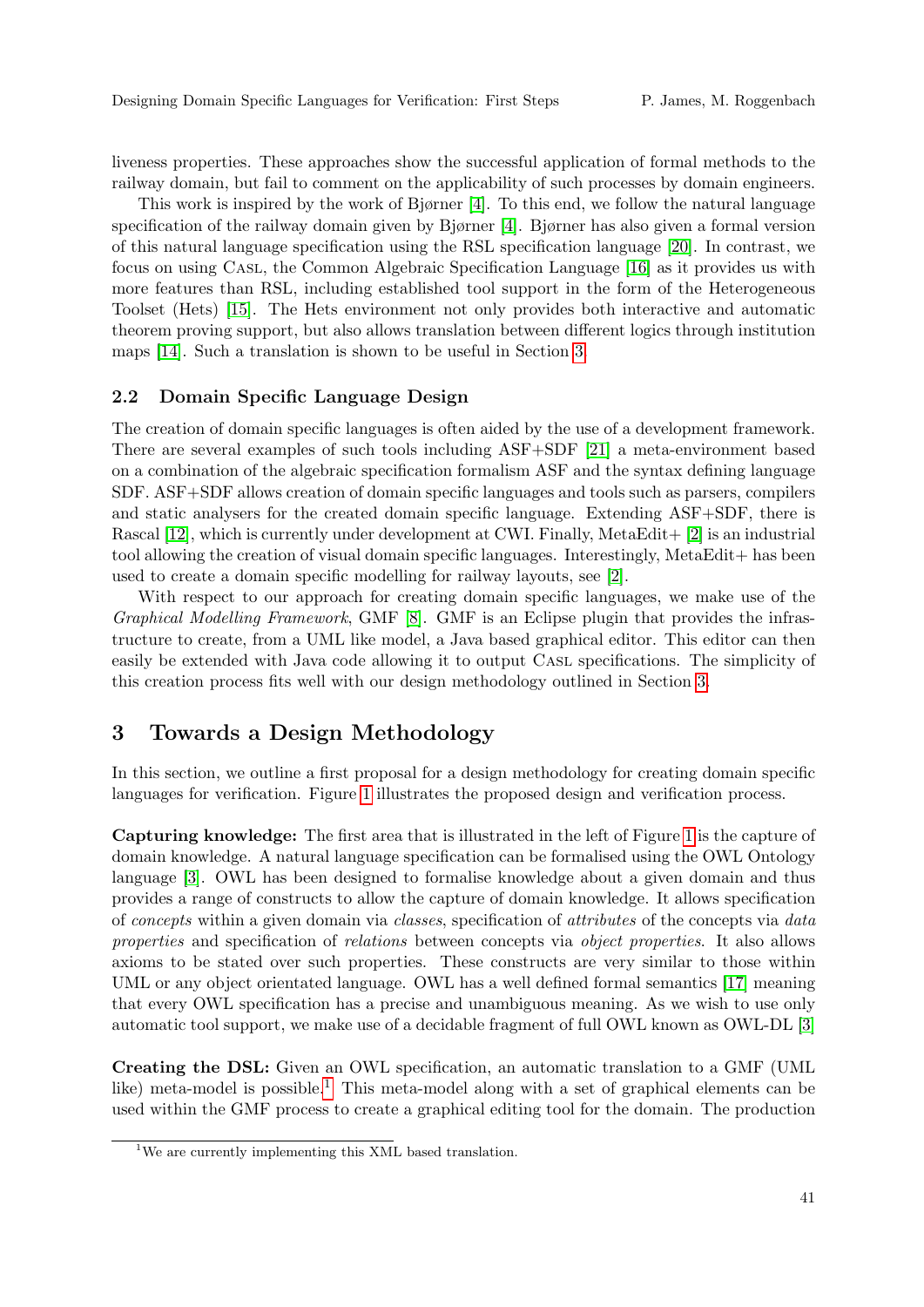liveness properties. These approaches show the successful application of formal methods to the railway domain, but fail to comment on the applicability of such processes by domain engineers.

This work is inspired by the work of Bjørner [\[4\]](#page-5-7). To this end, we follow the natural language specification of the railway domain given by Bjørner [\[4\]](#page-5-7). Bjørner has also given a formal version of this natural language specification using the RSL specification language [\[20\]](#page-5-10). In contrast, we focus on using Casl, the Common Algebraic Specification Language [\[16\]](#page-5-11) as it provides us with more features than RSL, including established tool support in the form of the Heterogeneous Toolset (Hets) [\[15\]](#page-5-12). The Hets environment not only provides both interactive and automatic theorem proving support, but also allows translation between different logics through institution maps [\[14\]](#page-5-13). Such a translation is shown to be useful in Section [3.](#page-1-0)

#### 2.2 Domain Specific Language Design

The creation of domain specific languages is often aided by the use of a development framework. There are several examples of such tools including ASF+SDF [\[21\]](#page-5-14) a meta-environment based on a combination of the algebraic specification formalism ASF and the syntax defining language SDF. ASF+SDF allows creation of domain specific languages and tools such as parsers, compilers and static analysers for the created domain specific language. Extending ASF+SDF, there is Rascal [\[12\]](#page-5-15), which is currently under development at CWI. Finally, MetaEdit + [\[2\]](#page-5-16) is an industrial tool allowing the creation of visual domain specific languages. Interestingly, MetaEdit + has been used to create a domain specific modelling for railway layouts, see [\[2\]](#page-5-16).

With respect to our approach for creating domain specific languages, we make use of the Graphical Modelling Framework, GMF [\[8\]](#page-5-17). GMF is an Eclipse plugin that provides the infrastructure to create, from a UML like model, a Java based graphical editor. This editor can then easily be extended with Java code allowing it to output CASL specifications. The simplicity of this creation process fits well with our design methodology outlined in Section [3.](#page-1-0)

## <span id="page-1-0"></span>3 Towards a Design Methodology

In this section, we outline a first proposal for a design methodology for creating domain specific languages for verification. Figure [1](#page-2-0) illustrates the proposed design and verification process.

Capturing knowledge: The first area that is illustrated in the left of Figure [1](#page-2-0) is the capture of domain knowledge. A natural language specification can be formalised using the OWL Ontology language [\[3\]](#page-5-18). OWL has been designed to formalise knowledge about a given domain and thus provides a range of constructs to allow the capture of domain knowledge. It allows specification of concepts within a given domain via classes, specification of attributes of the concepts via data properties and specification of relations between concepts via object properties. It also allows axioms to be stated over such properties. These constructs are very similar to those within UML or any object orientated language. OWL has a well defined formal semantics [\[17\]](#page-5-19) meaning that every OWL specification has a precise and unambiguous meaning. As we wish to use only automatic tool support, we make use of a decidable fragment of full OWL known as OWL-DL [\[3\]](#page-5-18)

Creating the DSL: Given an OWL specification, an automatic translation to a GMF (UML like) meta-model is possible.<sup>[1](#page-1-1)</sup> This meta-model along with a set of graphical elements can be used within the GMF process to create a graphical editing tool for the domain. The production

<span id="page-1-1"></span><sup>&</sup>lt;sup>1</sup>We are currently implementing this XML based translation.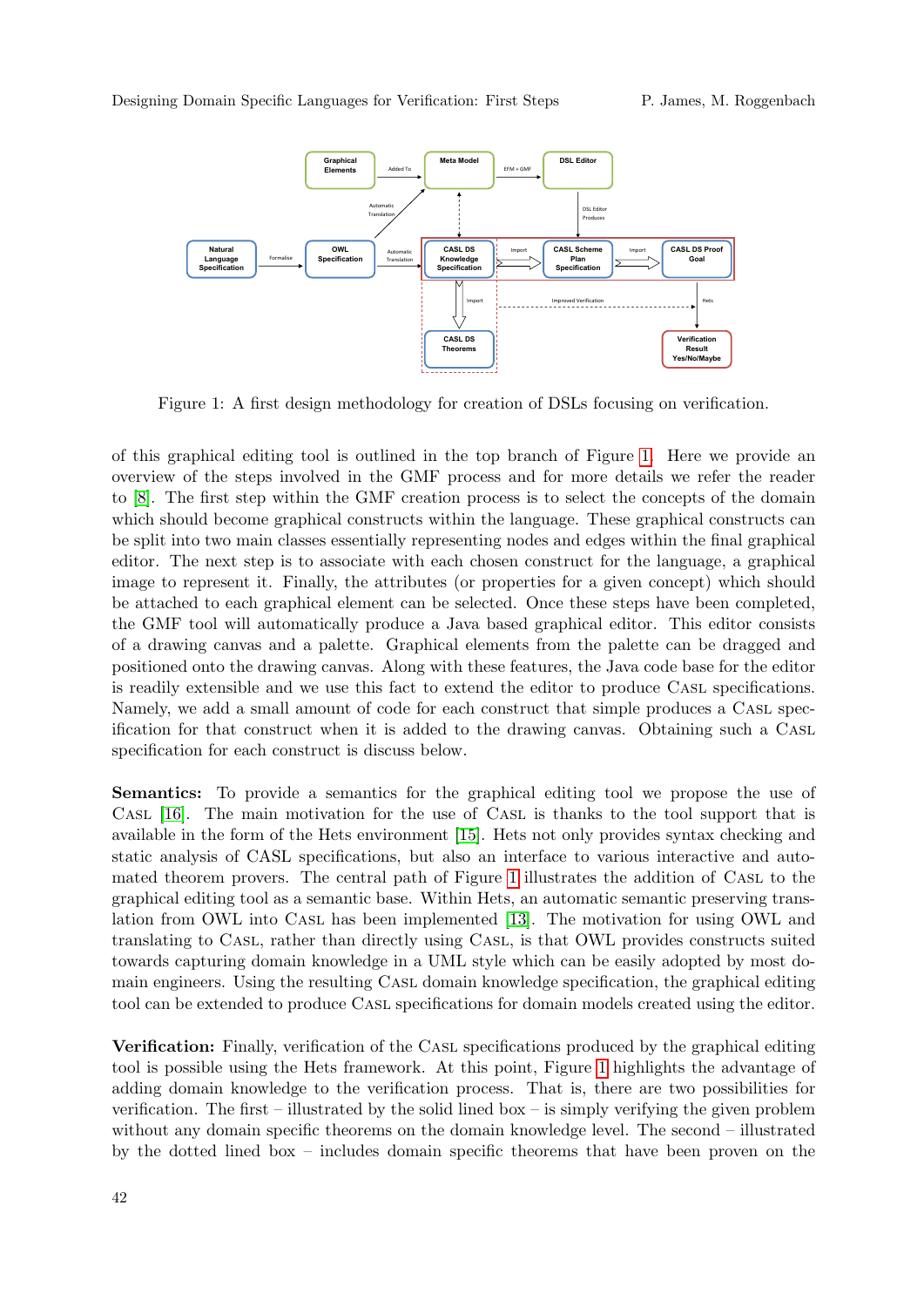

<span id="page-2-0"></span>Figure 1: A first design methodology for creation of DSLs focusing on verification.

of this graphical editing tool is outlined in the top branch of Figure [1.](#page-2-0) Here we provide an overview of the steps involved in the GMF process and for more details we refer the reader to [\[8\]](#page-5-17). The first step within the GMF creation process is to select the concepts of the domain which should become graphical constructs within the language. These graphical constructs can be split into two main classes essentially representing nodes and edges within the final graphical editor. The next step is to associate with each chosen construct for the language, a graphical image to represent it. Finally, the attributes (or properties for a given concept) which should be attached to each graphical element can be selected. Once these steps have been completed, the GMF tool will automatically produce a Java based graphical editor. This editor consists of a drawing canvas and a palette. Graphical elements from the palette can be dragged and positioned onto the drawing canvas. Along with these features, the Java code base for the editor is readily extensible and we use this fact to extend the editor to produce Casl specifications. Namely, we add a small amount of code for each construct that simple produces a CASL specification for that construct when it is added to the drawing canvas. Obtaining such a Casl specification for each construct is discuss below.

Semantics: To provide a semantics for the graphical editing tool we propose the use of Casl [\[16\]](#page-5-11). The main motivation for the use of Casl is thanks to the tool support that is available in the form of the Hets environment [\[15\]](#page-5-12). Hets not only provides syntax checking and static analysis of CASL specifications, but also an interface to various interactive and automated theorem provers. The central path of Figure [1](#page-2-0) illustrates the addition of Casl to the graphical editing tool as a semantic base. Within Hets, an automatic semantic preserving translation from OWL into Casl has been implemented [\[13\]](#page-5-20). The motivation for using OWL and translating to Casl, rather than directly using Casl, is that OWL provides constructs suited towards capturing domain knowledge in a UML style which can be easily adopted by most domain engineers. Using the resulting Casl domain knowledge specification, the graphical editing tool can be extended to produce Casl specifications for domain models created using the editor.

Verification: Finally, verification of the Casl specifications produced by the graphical editing tool is possible using the Hets framework. At this point, Figure [1](#page-2-0) highlights the advantage of adding domain knowledge to the verification process. That is, there are two possibilities for verification. The first – illustrated by the solid lined box – is simply verifying the given problem without any domain specific theorems on the domain knowledge level. The second – illustrated by the dotted lined box – includes domain specific theorems that have been proven on the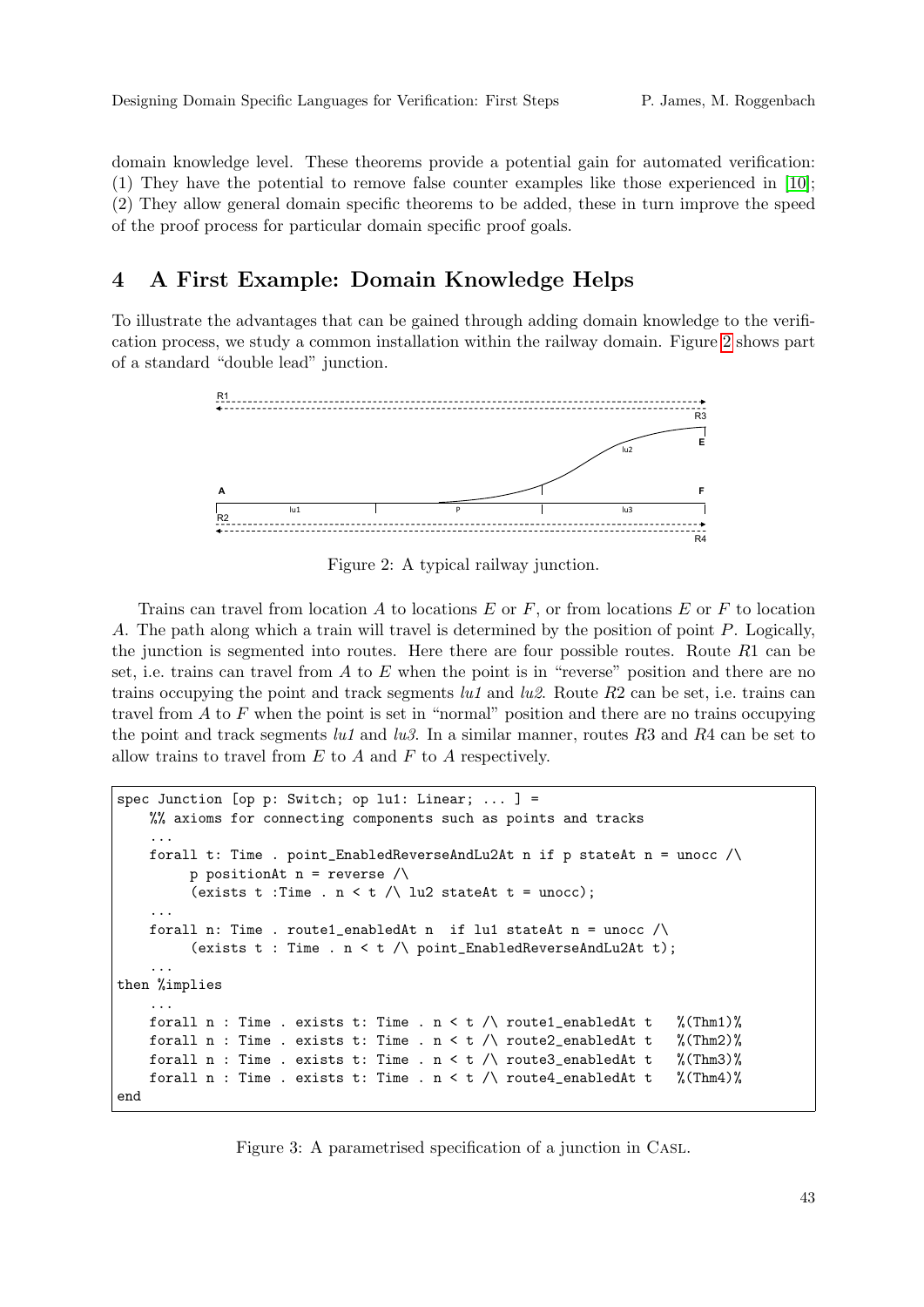domain knowledge level. These theorems provide a potential gain for automated verification: (1) They have the potential to remove false counter examples like those experienced in [\[10\]](#page-5-3); (2) They allow general domain specific theorems to be added, these in turn improve the speed of the proof process for particular domain specific proof goals.

# 4 A First Example: Domain Knowledge Helps

To illustrate the advantages that can be gained through adding domain knowledge to the verification process, we study a common installation within the railway domain. Figure [2](#page-3-0) shows part of a standard "double lead" junction.



<span id="page-3-0"></span>Figure 2: A typical railway junction.

Trains can travel from location A to locations E or F, or from locations E or F to location A. The path along which a train will travel is determined by the position of point P. Logically, the junction is segmented into routes. Here there are four possible routes. Route  $R1$  can be set, i.e. trains can travel from  $A$  to  $E$  when the point is in "reverse" position and there are no trains occupying the point and track segments  $lu1$  and  $lu2$ . Route  $R2$  can be set, i.e. trains can travel from  $A$  to  $F$  when the point is set in "normal" position and there are no trains occupying the point and track segments lu1 and lu3. In a similar manner, routes R3 and R4 can be set to allow trains to travel from  $E$  to  $A$  and  $F$  to  $A$  respectively.

```
spec Junction [op p: Switch; op lu1: Linear; \dots ] =
   %% axioms for connecting components such as points and tracks
    ...
   forall t: Time . point_EnabledReverseAndLu2At n if p stateAt n = unocc /\
         p positionAt n = reverse /\
         (exists t : Time . n < t / lu2 stateAt t = unocc);
    ...
   forall n: Time . route1_enabledAt n if lu1 stateAt n = unocc \wedge(exists t : Time . n < t /\ point_EnabledReverseAndLu2At t);
    ...
then %implies
    ...
   forall n : Time . exists t: Time . n < t /\ route1_enabledAt t %(Thm1)%
   forall n : Time . exists t: Time . n < t /\ route2_enabledAt t %(Thm2)%
   forall n : Time . exists t: Time . n < t /\ route3_enabledAt t %(Thm3)%
    forall n : Time . exists t: Time . n < t /\ route4_enabledAt t %(Thm4)%
end
```
<span id="page-3-1"></span>Figure 3: A parametrised specification of a junction in Casl.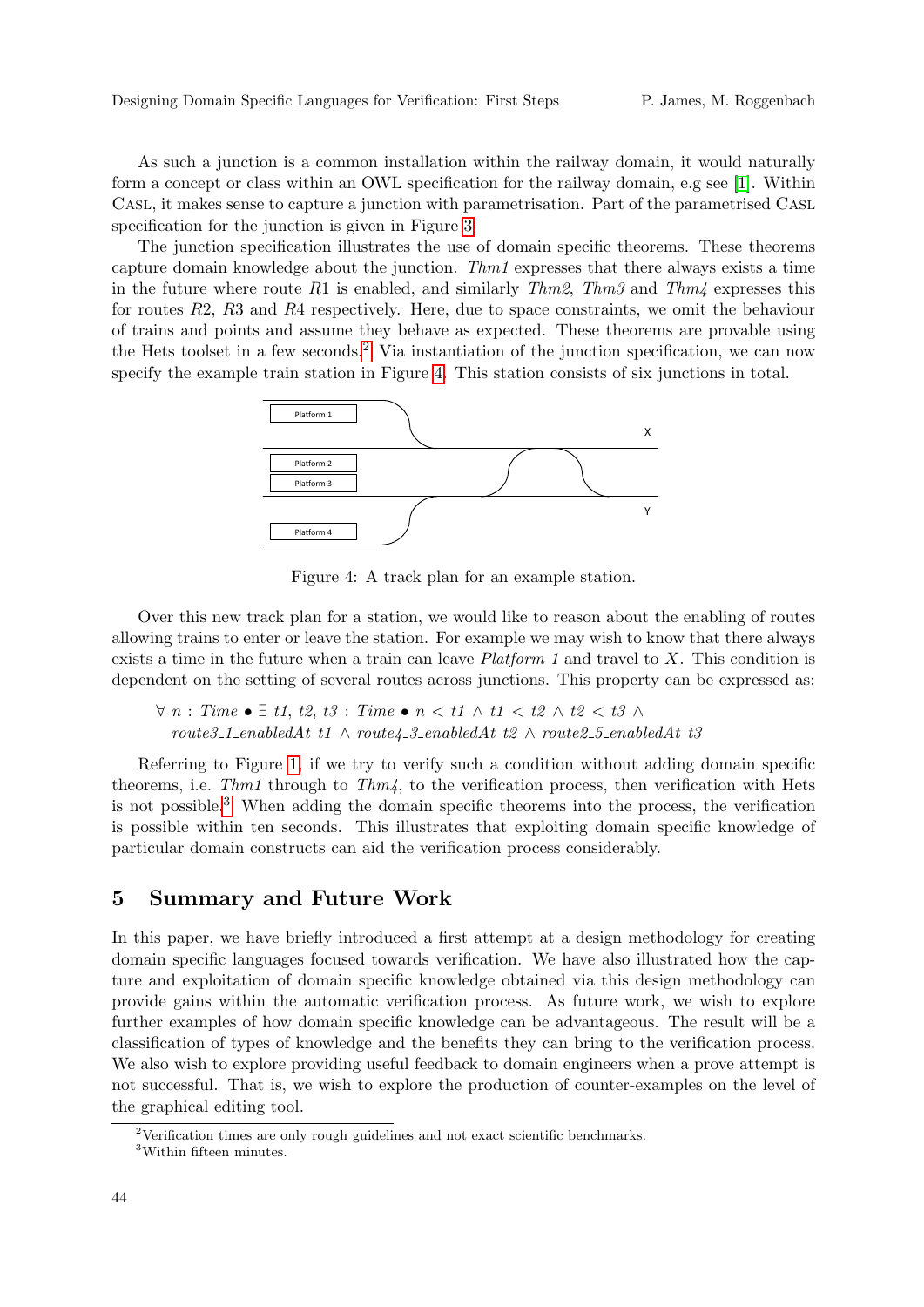As such a junction is a common installation within the railway domain, it would naturally form a concept or class within an OWL specification for the railway domain, e.g see [\[1\]](#page-5-21). Within Casl, it makes sense to capture a junction with parametrisation. Part of the parametrised Casl specification for the junction is given in Figure [3.](#page-3-1)

The junction specification illustrates the use of domain specific theorems. These theorems capture domain knowledge about the junction.  $Thm1$  expresses that there always exists a time in the future where route R1 is enabled, and similarly  $Thm2$ ,  $Thm3$  and  $Thm4$  expresses this for routes R2, R3 and R4 respectively. Here, due to space constraints, we omit the behaviour of trains and points and assume they behave as expected. These theorems are provable using the Hets toolset in a few seconds.<sup>[2](#page-4-0)</sup> Via instantiation of the junction specification, we can now specify the example train station in Figure [4.](#page-4-1) This station consists of six junctions in total.



<span id="page-4-1"></span>Figure 4: A track plan for an example station.

Over this new track plan for a station, we would like to reason about the enabling of routes allowing trains to enter or leave the station. For example we may wish to know that there always exists a time in the future when a train can leave  $Platform 1$  and travel to X. This condition is dependent on the setting of several routes across junctions. This property can be expressed as:

 $\forall n : Time \bullet \exists t1, t2, t3 : Time \bullet n < t1 \land t1 < t2 \land t2 < t3 \land$  $route 3_1_enable dAt t1 \wedge route 4_3_enable dAt t2 \wedge route 2_5_enable dAt t3$ 

Referring to Figure [1,](#page-2-0) if we try to verify such a condition without adding domain specific theorems, i.e.  $Thm1$  through to  $Thm4$ , to the verification process, then verification with Hets is not possible.<sup>[3](#page-4-2)</sup> When adding the domain specific theorems into the process, the verification is possible within ten seconds. This illustrates that exploiting domain specific knowledge of particular domain constructs can aid the verification process considerably.

## 5 Summary and Future Work

In this paper, we have briefly introduced a first attempt at a design methodology for creating domain specific languages focused towards verification. We have also illustrated how the capture and exploitation of domain specific knowledge obtained via this design methodology can provide gains within the automatic verification process. As future work, we wish to explore further examples of how domain specific knowledge can be advantageous. The result will be a classification of types of knowledge and the benefits they can bring to the verification process. We also wish to explore providing useful feedback to domain engineers when a prove attempt is not successful. That is, we wish to explore the production of counter-examples on the level of the graphical editing tool.

<span id="page-4-0"></span><sup>&</sup>lt;sup>2</sup>Verification times are only rough guidelines and not exact scientific benchmarks.

<span id="page-4-2"></span><sup>3</sup>Within fifteen minutes.